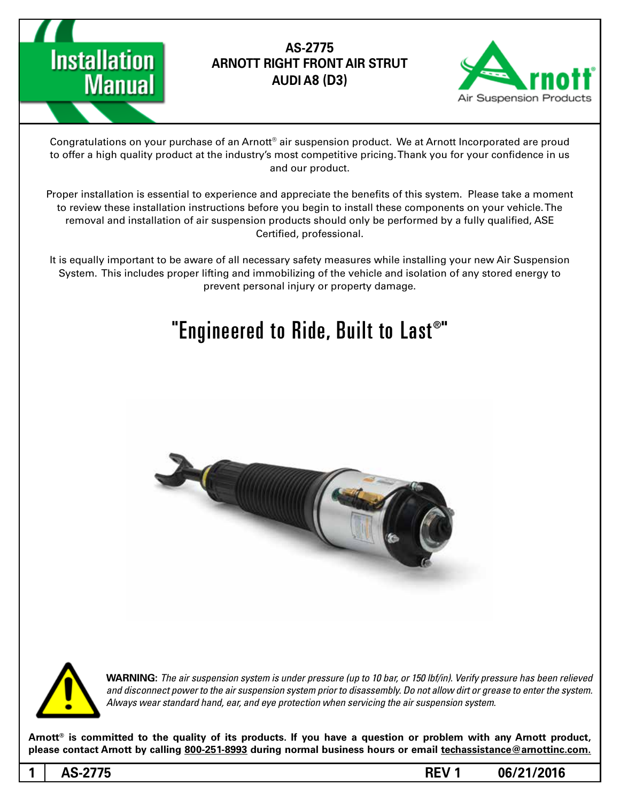

# AS-2775 **ARNOTT RIGHT FRONT AIR STRUT (3D (8A AUDI**



Congratulations on your purchase of an Arnott® air suspension product. We at Arnott Incorporated are proud to offer a high quality product at the industry's most competitive pricing. Thank you for your confidence in us and our product.

Proper installation is essential to experience and appreciate the benefits of this system. Please take a moment to review these installation instructions before you begin to install these components on your vehicle. The removal and installation of air suspension products should only be performed by a fully qualified, ASE Certified, professional.

It is equally important to be aware of all necessary safety measures while installing your new Air Suspension System. This includes proper lifting and immobilizing of the vehicle and isolation of any stored energy to prevent personal injury or property damage.

# "Engineered to Ride, Built to Last $^{\circ}$ "





*WARNING: The air suspension system is under pressure (up to 10 bar, or 150 lbf/in). Verify pressure has been relieved* and disconnect power to the air suspension system prior to disassembly. Do not allow dirt or grease to enter the system. Always wear standard hand, ear, and eye protection when servicing the air suspension system.

Arnott<sup>®</sup> is committed to the quality of its products. If you have a question or problem with any Arnott product, please contact Arnott by calling 800-251-8993 during normal business hours or email techassistance@arnottinc.com.

**06/21/2016 1 REV -2775AS 1**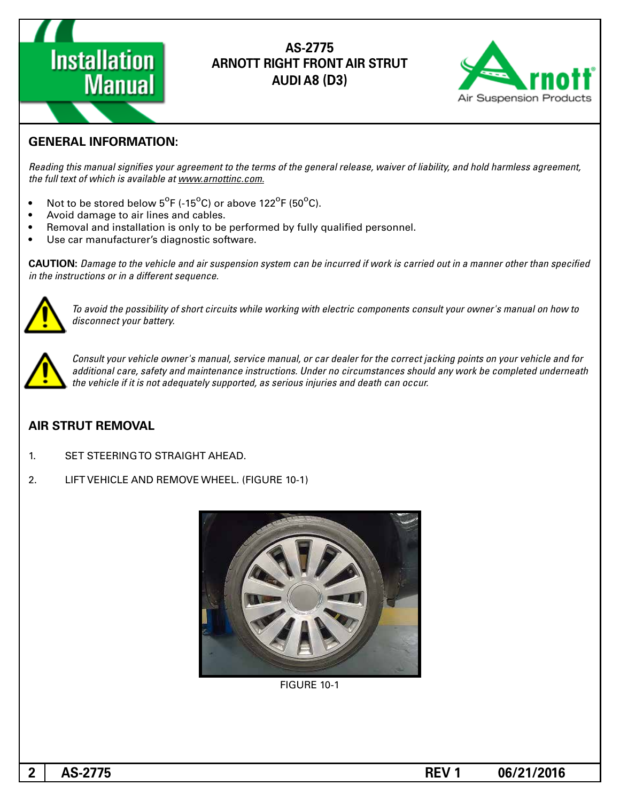

## AS-2775 **ARNOTT RIGHT FRONT AIR STRUT (3D (8A AUDI**



### **GENERAL INFORMATION:**

Reading this manual signifies your agreement to the terms of the general release, waiver of liability, and hold harmless agreement, the full text of which is available at www.arnottinc.com.

- Not to be stored below  $5^{\circ}$ F (-15 $^{\circ}$ C) or above 122 $^{\circ}$ F (50 $^{\circ}$ C).
- Avoid damage to air lines and cables.
- Removal and installation is only to be performed by fully qualified personnel.
- Use car manufacturer's diagnostic software.

**CAUTION:** Damage to the vehicle and air suspension system can be incurred if work is carried out in a manner other than specified *in the instructions or in a different sequence.* 



To avoid the possibility of short circuits while working with electric components consult your owner's manual on how to disconnect your battery.



Consult your vehicle owner's manual, service manual, or car dealer for the correct jacking points on your vehicle and for additional care, safety and maintenance instructions. Under no circumstances should any work be completed underneath the vehicle if it is not adequately supported, as serious injuries and death can occur.

#### **AIR STRUT REMOVAL**

- 1. SET STEERING TO STRAIGHT AHEAD.
- 2. LIFT VEHICLE AND REMOVE WHEEL. (FIGURE 10-1)



**FIGURE 10-1**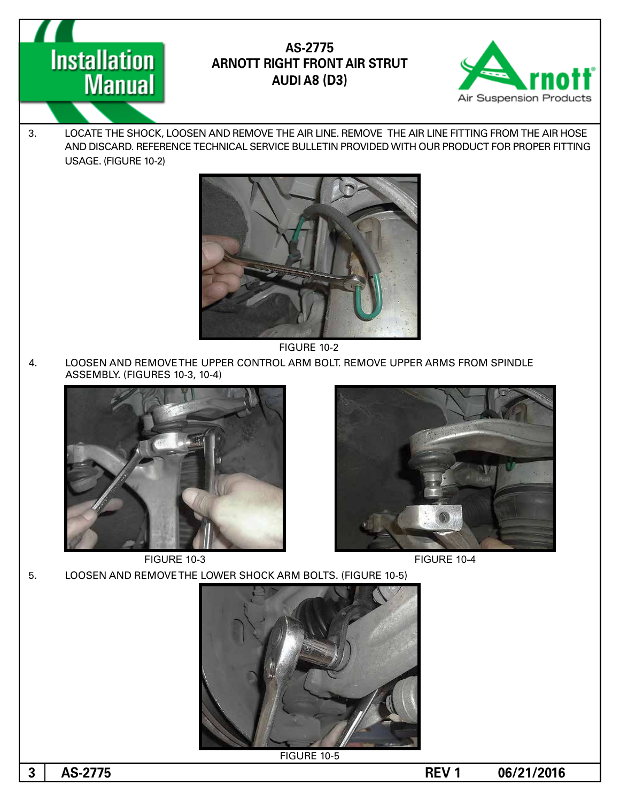

AS-2775 **ARNOTT RIGHT FRONT AIR STRUT AUDI A8 (D3)** 



3. LOCATE THE SHOCK, LOOSEN AND REMOVE THE AIR LINE. REMOVE THE AIR LINE FITTING FROM THE AIR HOSE AND DISCARD. REFERENCE TECHNICAL SERVICE BULLETIN PROVIDED WITH OUR PRODUCT FOR PROPER FITTING USAGE. (FIGURE 10-2)



FIGURE 10-2

4. LOOSEN AND REMOVE THE UPPER CONTROL ARM BOLT. REMOVE UPPER ARMS FROM SPINDLE ASSEMBLY. (FIGURES 10-3, 10-4)



FIGURE 10-3 FIGURE 10-4

5. LOOSEN AND REMOVE THE LOWER SHOCK ARM BOLTS. (FIGURE 10-5)



**FIGURE 10-5** 

**1 1 AS-2775 1 AS-2775 1 1 AS-2775 1 1 AS-2775 1 1 AS-2775**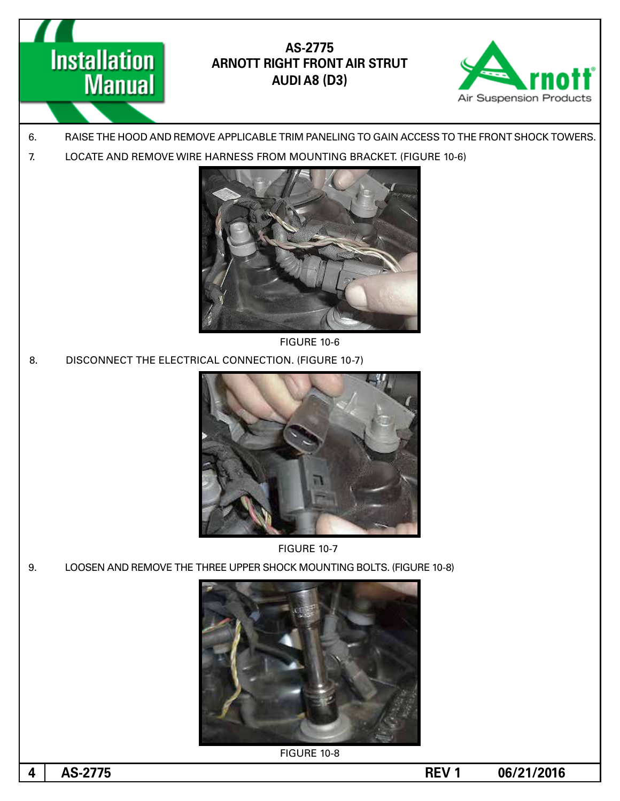**Installation Manual** 

AS-2775 **ARNOTT RIGHT FRONT AIR STRUT AUDI A8 (D3)** 



- 6. BAISE THE HOOD AND REMOVE APPLICABLE TRIM PANELING TO GAIN ACCESS TO THE FRONT SHOCK TOWERS.
- 7. LOCATE AND REMOVE WIRE HARNESS FROM MOUNTING BRACKET. (FIGURE 10-6)



**FIGURE 10-6** 

8. DISCONNECT THE ELECTRICAL CONNECTION. (FIGURE 10-7)



**FIGURE 10-7** 

9. LOOSEN AND REMOVE THE THREE UPPER SHOCK MOUNTING BOLTS. (FIGURE 10-8)



FIGURE 10-8

**06/21/2016 1 REV -2775AS 4**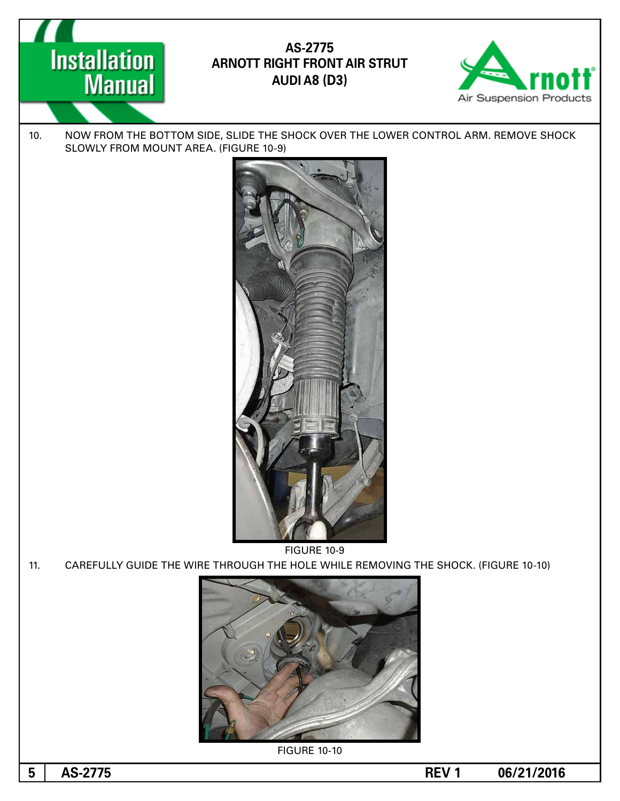